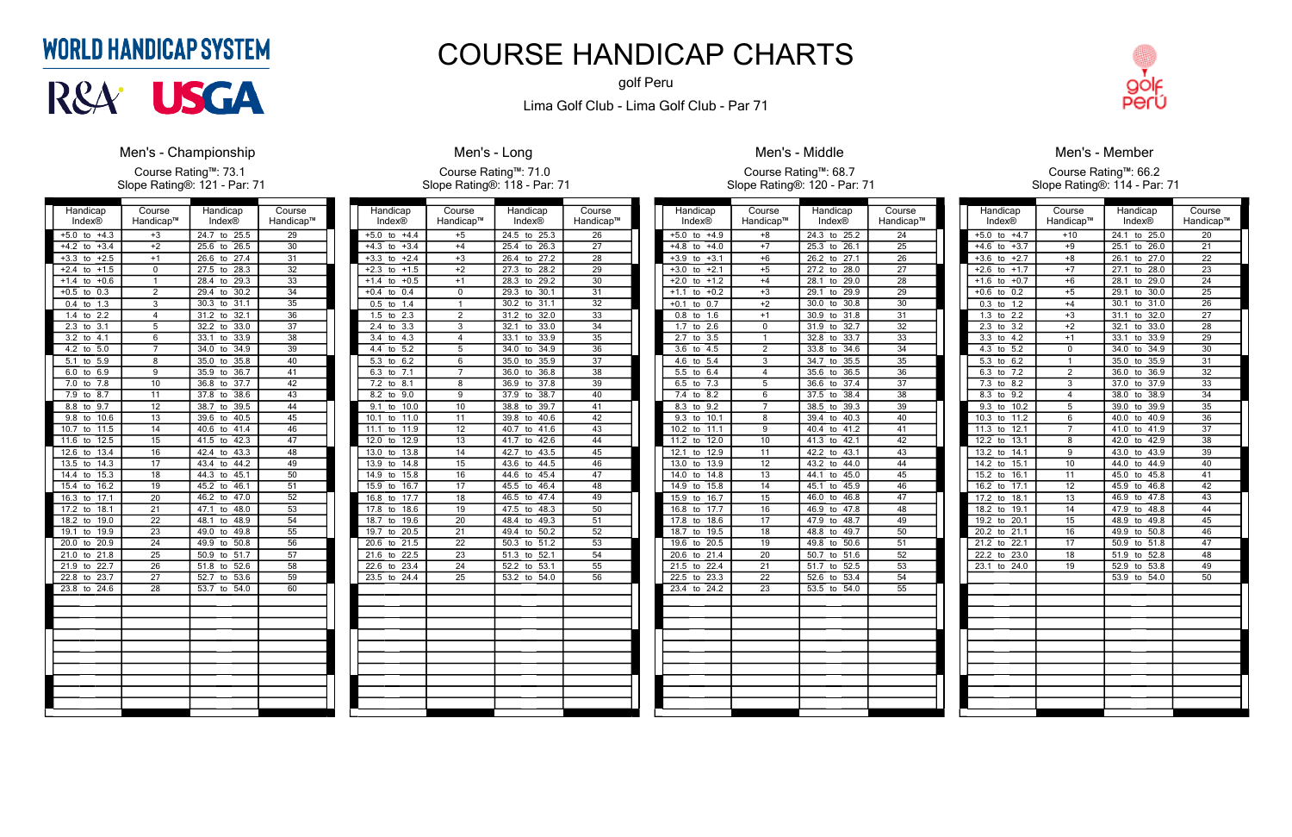| Handicap                      | Course          | Handicap                        | Course          |
|-------------------------------|-----------------|---------------------------------|-----------------|
| <b>Index®</b>                 | Handicap™       | Index®                          | Handicap™       |
| $+5.0$<br>$+4.3$<br>to        | $+3$            | 24.7<br>to<br>25.5              | 29              |
| $+3.4$<br>$+4.2$<br>to        | $+2$            | 26.5<br>25.6<br>to              | $\overline{30}$ |
| $+3.3$<br>$+2.5$<br>to        | $+1$            | 26.6<br>27.4<br>to              | 31              |
| $+1.5$<br>$+2.4$<br>to        | 0               | 28.3<br>27.5<br>to              | $\overline{32}$ |
| $+1.4$<br>$+0.6$<br>to        | 1               | 28.4<br>29.3<br>to              | 33              |
| 0.3<br>$+0.5$<br>to           | $\overline{2}$  | 30.2<br>29.4<br>to              | 34              |
| 1.3<br>0.4<br>to              | $\overline{3}$  | 30.3<br>31.1<br>to              | 35              |
| 2.2<br>1.4<br>to              | 4               | 32.1<br>31.2<br>to              | 36              |
| 2.3<br>$\overline{3.1}$<br>to | $\overline{5}$  | 32.2<br>33.0<br>to              | 37              |
| 4.1<br>3.2<br>to              | $\overline{6}$  | 33.1<br>33.9<br>to              | $\overline{38}$ |
| 4.2<br>5.0<br>to              | 7               | 34.0<br>34.9<br>to              | $\overline{39}$ |
| 5.1<br>5.9<br>to              | 8               | 35.8<br>35.0<br>to              | 40              |
| 6.9<br>6.0<br>to              | 9               | 36.7<br>35.9<br>to              | 41              |
| 7.8<br>7.0<br>to              | 10              | 36.8<br>37.7<br>to              | 42              |
| 7.9<br>8.7<br>to              | 11              | 37.8<br>38.6<br>to              | 43              |
| 9.7<br>8.8<br>to              | 12              | 38.7<br>39.5<br>to              | 44              |
| 10.6<br>9.8<br>to             | 13              | 40.5<br>39.6<br>to              | 45              |
| 10.7<br>11.5<br>to            | 14              | 41.4<br>40.6<br>to              | 46              |
| 11.6<br>12.5<br>to            | 15              | 42.3<br>41.5<br>to              | 47              |
| 13.4<br>12.6<br>to            | 16              | 43.3<br>42.4<br>to              | 48              |
| 13.5<br>14.3<br>to            | 17              | 43.4<br>44.2<br>to              | 49              |
| 14.4<br>15.3<br>to            | $\overline{18}$ | 44.3<br>45.1<br>to              | 50              |
| 16.2<br>15.4<br>to            | 19              | 45.2<br>46.1<br>to              | 51              |
| 17.1<br>16.3<br>to            | 20              | 47.0<br>46.2<br>to              | $\overline{52}$ |
| 17.2<br>18.1<br>to            | $\overline{21}$ | 48.0<br>47.1<br>to              | $\overline{53}$ |
| 19.0<br>18.2<br>to            | 22              | 48.9<br>48.1<br>to              | 54              |
| 19.1<br>19.9<br>to            | 23              | 49.0<br>49.8<br>to              | 55              |
| 20.0<br>20.9<br>to            | 24              | 50.8<br>49.9<br>to              | 56              |
| 21.0<br>21.8<br>to            | $\overline{25}$ | 50.9<br>51.7<br>to              | 57              |
| 21.9<br>22.7<br>to            | $\overline{26}$ | $\overline{51.8}$<br>52.6<br>to | 58              |
| 22.8<br>23.7<br>to            | 27              | 52.7<br>53.6<br>to              | 59              |
| 23.8<br>24.6<br>to            | 28              | 54.0<br>53.7<br>to              | 60              |
|                               |                 |                                 |                 |
|                               |                 |                                 |                 |
|                               |                 |                                 |                 |
|                               |                 |                                 |                 |
|                               |                 |                                 |                 |
|                               |                 |                                 |                 |
|                               |                 |                                 |                 |
|                               |                 |                                 |                 |
|                               |                 |                                 |                 |
|                               |                 |                                 |                 |
|                               |                 |                                 |                 |

# **WORLD HANDICAP SYSTEM**



## **Men's - Championship**

Course Rating™: 73.1 Slope Rating®: 121 - Par: 71

| Handicap                        | Course          | Handicap           | Course          |
|---------------------------------|-----------------|--------------------|-----------------|
| Index®                          | Handicap™       | <b>Index®</b>      | Handicap™       |
| $+4.4$<br>$+5.0$<br>to          | $+5$            | 24.5<br>25.3<br>to | 26              |
| $+4.3$<br>$+3.4$<br>to          | $+4$            | 254<br>26.3<br>to  | $\overline{27}$ |
| $+3.3$<br>$+2.4$<br>to          | $+3$            | 27.2<br>26.4<br>to | $\overline{28}$ |
| $+2.3$<br>$+1.5$<br>to          | $+2$            | 27.3<br>28.2<br>to | $\overline{29}$ |
| $+0.5$<br>$+1.4$<br>to          | $+1$            | 28.3<br>29.2<br>to | $\overline{30}$ |
| $+0.4$<br>0.4<br>to             | 0               | 29.3<br>30.1<br>to | $\overline{31}$ |
| 0.5<br>1.4<br>to                | 1               | 30.2<br>31.1<br>to | $\overline{32}$ |
| 1.5<br>2.3<br>to                | $\overline{2}$  | 31.2<br>32.0<br>to | 33              |
| 2.4<br>3.3<br>to                | $\overline{3}$  | 32.1<br>33.0<br>to | $\overline{34}$ |
| 3.4<br>4.3<br>to                | 4               | 33.1<br>33.9<br>to | $\overline{35}$ |
| 5.2<br>4.4<br>to                | $\overline{5}$  | 34.9<br>34.0<br>to | $\overline{36}$ |
| 6.2<br>5.3<br>to                | 6               | 35.9<br>35.0<br>to | $\overline{37}$ |
| 6.3<br>7.1<br>to                | 7               | 36.0<br>36.8<br>to | $\overline{38}$ |
| $\overline{7.2}$<br>8.1<br>to   | 8               | 37.8<br>36.9<br>to | 39              |
| 8.2<br>9.0<br>to                | 9               | 38.7<br>37.9<br>to | 40              |
| 9.1<br>10.0<br>to               | 10              | 38.8<br>39.7<br>to | 41              |
| 10.1<br>11.0<br>to              | $\overline{11}$ | 39.8<br>40.6<br>to | 42              |
| 11.1<br>11.9<br>to              | 12              | 41.6<br>40.7<br>to | 43              |
| 12.0<br>12.9<br>to              | 13              | 41.7<br>42.6<br>to | 44              |
| 13.0<br>13.8<br>to              | 14              | 42.7<br>43.5<br>to | 45              |
| 14.8<br>13.9<br>to              | 15              | 43.6<br>44.5<br>to | 46              |
| 15.8<br>14.9<br>to              | 16              | 45.4<br>44.6<br>to | 47              |
| 15.9<br>16.7<br>to              | 17              | 45.5<br>46.4<br>to | 48              |
| 16.8<br>17.7<br>to              | 18              | 47.4<br>46.5<br>to | 49              |
| 17.8<br>18.6<br>to              | 19              | 47.5<br>48.3<br>to | $\overline{50}$ |
| 18.7<br>19.6<br>to              | $\overline{20}$ | 48.4<br>49.3<br>to | 51              |
| 19.7<br>20.5<br>to              | 21              | 50.2<br>49.4<br>to | 52              |
| 21.5<br>20.6<br>to              | 22              | 51.2<br>50.3<br>to | 53              |
| $\overline{21.6}$<br>22.5<br>to | $\overline{23}$ | 52.1<br>51.3<br>to | $\overline{54}$ |
| 22.6<br>23.4<br>to              | 24              | 52.2<br>53.1<br>to | $\overline{55}$ |
| 23.5<br>24.4<br>to              | 25              | 54.0<br>53.2<br>to | 56              |
|                                 |                 |                    |                 |
|                                 |                 |                    |                 |
|                                 |                 |                    |                 |
|                                 |                 |                    |                 |
|                                 |                 |                    |                 |
|                                 |                 |                    |                 |
|                                 |                 |                    |                 |
|                                 |                 |                    |                 |
|                                 |                 |                    |                 |
|                                 |                 |                    |                 |
|                                 |                 |                    |                 |

# **Men's - Long**

Course Rating™: 71.0 Slope Rating®: 118 - Par: 71

| Handicap                      | Course          | Handicap           | Course          |
|-------------------------------|-----------------|--------------------|-----------------|
| Index®                        | Handicap™       | <b>Index®</b>      | Handicap™       |
| $+4.9$<br>$+5.0$<br>to        | $+8$            | 24.3<br>25.2<br>to | $\overline{24}$ |
| $+4.8$<br>to<br>$+4.0$        | $+7$            | 25.3<br>26.1<br>to | $\overline{25}$ |
| $+3.9$<br>$+3.1$<br>to        | $+6$            | 27.1<br>26.2<br>to | 26              |
| $+3.0$<br>$+2.1$<br>to        | $+5$            | 27.2<br>28.0<br>to | $\overline{27}$ |
| $+2.0$<br>$+1.2$<br>to        | $+4$            | 29.0<br>28.1<br>to | 28              |
| $+1.1$<br>$+0.2$<br>to        | $+3$            | 29.9<br>29.1<br>to | 29              |
| $+0.1$<br>0.7<br>to           | $+2$            | 30.8<br>30.0<br>to | 30              |
| 0.8<br>1.6<br>to              | $+1$            | 31.8<br>30.9<br>to | $\overline{31}$ |
| 1.7<br>2.6<br>to              | 0               | 32.7<br>31.9<br>to | 32              |
| $\overline{3.5}$<br>2.7<br>to | 1               | 33.7<br>32.8<br>to | 33              |
| 3.6<br>4.5<br>to              | $\overline{2}$  | 33.8<br>34.6<br>to | 34              |
| 5.4<br>4.6<br>to              | 3               | 35.5<br>34.7<br>to | 35              |
| 5.5<br>6.4<br>to              | 4               | 36.5<br>35.6<br>to | 36              |
| 7.3<br>6.5<br>to              | 5               | 36.6<br>37.4<br>to | $\overline{37}$ |
| 7.4<br>8.2<br>to              | 6               | 38.4<br>37.5<br>to | 38              |
| 8.3<br>9.2<br>to              | 7               | 39.3<br>38.5<br>to | 39              |
| 9.3<br>10.1<br>to             | 8               | 40.3<br>39.4<br>to | 40              |
| 10.2<br>11.1<br>to            | 9               | 41.2<br>40.4<br>to | 41              |
| 12.0<br>11.2<br>to            | 10              | 42.1<br>41.3<br>to | 42              |
| 12.1<br>12.9<br>to            | 11              | 42.2<br>43.1<br>to | 43              |
| 13.0<br>13.9<br>to            | $\overline{12}$ | 43.2<br>44.0<br>to | 44              |
| 14.0<br>14.8<br>to            | $\overline{13}$ | 45.0<br>44.1<br>to | 45              |
| 15.8<br>14.9<br>to            | 14              | 45.1<br>45.9<br>to | 46              |
| 15.9<br>16.7<br>to            | $\overline{15}$ | 46.8<br>46.0<br>to | 47              |
| 16.8<br>17.7<br>to            | $\overline{16}$ | 47.8<br>46.9<br>to | 48              |
| 18.6<br>17.8<br>to            | $\overline{17}$ | 48.7<br>47.9<br>to | 49              |
| 18.7<br>19.5<br>to            | 18              | 48.8<br>49.7<br>to | 50              |
| 20.5<br>19.6<br>to            | $\overline{19}$ | 49.8<br>50.6<br>to | 51              |
| 21.4<br>20.6<br>to            | 20              | 50.7<br>51.6<br>to | 52              |
| 21.5<br>22.4<br>to            | 21              | 51.7<br>52.5<br>to | 53              |
| 22.5<br>23.3<br>to            | $\overline{22}$ | 52.6<br>53.4<br>to | 54              |
| 23.4<br>24.2<br>to            | 23              | 53.5<br>54.0<br>to | 55              |
|                               |                 |                    |                 |
|                               |                 |                    |                 |
|                               |                 |                    |                 |
|                               |                 |                    |                 |
|                               |                 |                    |                 |
|                               |                 |                    |                 |
|                               |                 |                    |                 |
|                               |                 |                    |                 |
|                               |                 |                    |                 |
|                               |                 |                    |                 |
|                               |                 |                    |                 |



## Men's - Middle

Course Rating™: 68.7 Slope Rating®: 120 - Par: 71

| Handicap                      | Course          | Handicap                        | Course          |
|-------------------------------|-----------------|---------------------------------|-----------------|
| Index®                        | Handicap™       | Index®                          | Handicap™       |
| $+4.7$<br>$+5.0$<br>to        | $+10$           | 24.1<br>25.0<br>to              | 20              |
| $+3.7$<br>$+4.6$<br>to        | $+9$            | $25.\overline{1}$<br>26.0<br>to | 21              |
| $+3.6$<br>$+2.7$<br>to        | $+8$            | 26.1<br>27.0<br>to              | 22              |
| $+2.6$<br>$+1.7$<br>to        | $+7$            | 28.0<br>27.1<br>to              | 23              |
| $+1.6$<br>$+0.7$<br>to        | $+6$            | 28.1<br>29.0<br>to              | 24              |
| 0.2<br>$+0.6$<br>to           | $+5$            | 30.0<br>29.1<br>to              | $\overline{25}$ |
| 1.2<br>0.3<br>to              | $+4$            | $\overline{31.0}$<br>30.1<br>to | 26              |
| 2.2<br>1.3<br>to              | $+3$            | 32.0<br>31.1<br>to              | 27              |
| $\overline{3.2}$<br>2.3<br>to | $+2$            | 33.0<br>32.1<br>to              | $\overline{28}$ |
| 3.3<br>4.2<br>to              | $+1$            | 33.1<br>33.9<br>to              | $\overline{29}$ |
| 5.2<br>4.3<br>to              | 0               | 34.0<br>34.9<br>to              | 30              |
| $5.\overline{3}$<br>6.2<br>to | 1               | 35.9<br>35.0<br>to              | 31              |
| 6.3<br>7.2<br>to              | $\overline{2}$  | 36.0<br>36.9<br>to              | $\overline{32}$ |
| $\overline{7.3}$<br>8.2<br>to | 3               | 37.0<br>37.9<br>to              | $\overline{33}$ |
| 8.3<br>9.2<br>to              | 4               | 38.9<br>38.0<br>to              | 34              |
| 9.3<br>10.2<br>to             | 5               | 39.0<br>39.9<br>to              | $\overline{35}$ |
| 10.3<br>11.2<br>to            | 6               | 40.9<br>40.0<br>to              | $\overline{36}$ |
| 11.3<br>12.1<br>to            | 7               | 41.9<br>41.0<br>to              | 37              |
| 12.2<br>13.1<br>to            | 8               | 42.0<br>42.9<br>to              | 38              |
| 13.2<br>14.1<br>to            | $\overline{9}$  | 43.0<br>43.9<br>to              | $\overline{39}$ |
| 14.2<br>15.1<br>to            | 10              | 44.0<br>44.9<br>to              | 40              |
| 15.2<br>16.1<br>to            | 11              | 45.8<br>45.0<br>to              | 41              |
| 16.2<br>17.1<br>to            | $\overline{12}$ | 45.9<br>46.8<br>to              | 42              |
| 17.2<br>18.1<br>to            | 13              | 47.8<br>46.9<br>to              | 43              |
| 19.1<br>18.2<br>to            | 14              | 47.9<br>48.8<br>to              | 44              |
| 19.2<br>20.1<br>to            | 15              | 48.9<br>49.8<br>to              | 45              |
| 20.2<br>21.1<br>to            | 16              | 49.9<br>50.8<br>to              | 46              |
| 22.1<br>21.2<br>to            | 17              | 50.9<br>51.8<br>to              | 47              |
| 23.0<br>22.2<br>to            | 18              | 52.8<br>51.9<br>to              | $\overline{48}$ |
| 23.1<br>24.0<br>to            | 19              | 53.8<br>52.9<br>to              | 49              |
|                               |                 | 53.9<br>54.0<br>to              | 50              |
|                               |                 |                                 |                 |
|                               |                 |                                 |                 |
|                               |                 |                                 |                 |
|                               |                 |                                 |                 |
|                               |                 |                                 |                 |
|                               |                 |                                 |                 |
|                               |                 |                                 |                 |
|                               |                 |                                 |                 |
|                               |                 |                                 |                 |
|                               |                 |                                 |                 |
|                               |                 |                                 |                 |

### Men's - Member

#### Course Rating™: 66.2 Slope Rating®: 114 - Par: 71

# COURSE HANDICAP CHARTS

golf Peru

Lima Golf Club - Lima Golf Club - Par 71